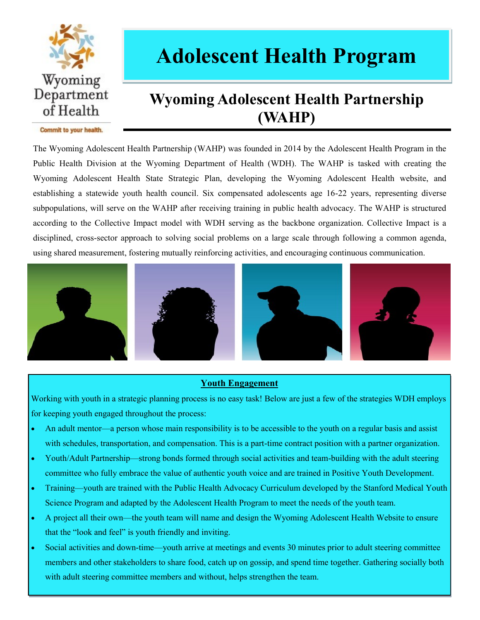

# **Adolescent Health Program**

### **Wyoming Adolescent Health Partnership (WAHP)**

Commit to your health.

The Wyoming Adolescent Health Partnership (WAHP) was founded in 2014 by the Adolescent Health Program in the Public Health Division at the Wyoming Department of Health (WDH). The WAHP is tasked with creating the Wyoming Adolescent Health State Strategic Plan, developing the Wyoming Adolescent Health website, and establishing a statewide youth health council. Six compensated adolescents age 16-22 years, representing diverse subpopulations, will serve on the WAHP after receiving training in public health advocacy. The WAHP is structured according to the Collective Impact model with WDH serving as the backbone organization. Collective Impact is a disciplined, cross-sector approach to solving social problems on a large scale through following a common agenda, using shared measurement, fostering mutually reinforcing activities, and encouraging continuous communication.









#### **Youth Engagement**

Working with youth in a strategic planning process is no easy task! Below are just a few of the strategies WDH employs for keeping youth engaged throughout the process:

- An adult mentor—a person whose main responsibility is to be accessible to the youth on a regular basis and assist with schedules, transportation, and compensation. This is a part-time contract position with a partner organization.
- Youth/Adult Partnership—strong bonds formed through social activities and team-building with the adult steering committee who fully embrace the value of authentic youth voice and are trained in Positive Youth Development.
- Training—youth are trained with the Public Health Advocacy Curriculum developed by the Stanford Medical Youth Science Program and adapted by the Adolescent Health Program to meet the needs of the youth team.
- A project all their own—the youth team will name and design the Wyoming Adolescent Health Website to ensure that the "look and feel" is youth friendly and inviting.
- Social activities and down-time—youth arrive at meetings and events 30 minutes prior to adult steering committee members and other stakeholders to share food, catch up on gossip, and spend time together. Gathering socially both with adult steering committee members and without, helps strengthen the team.